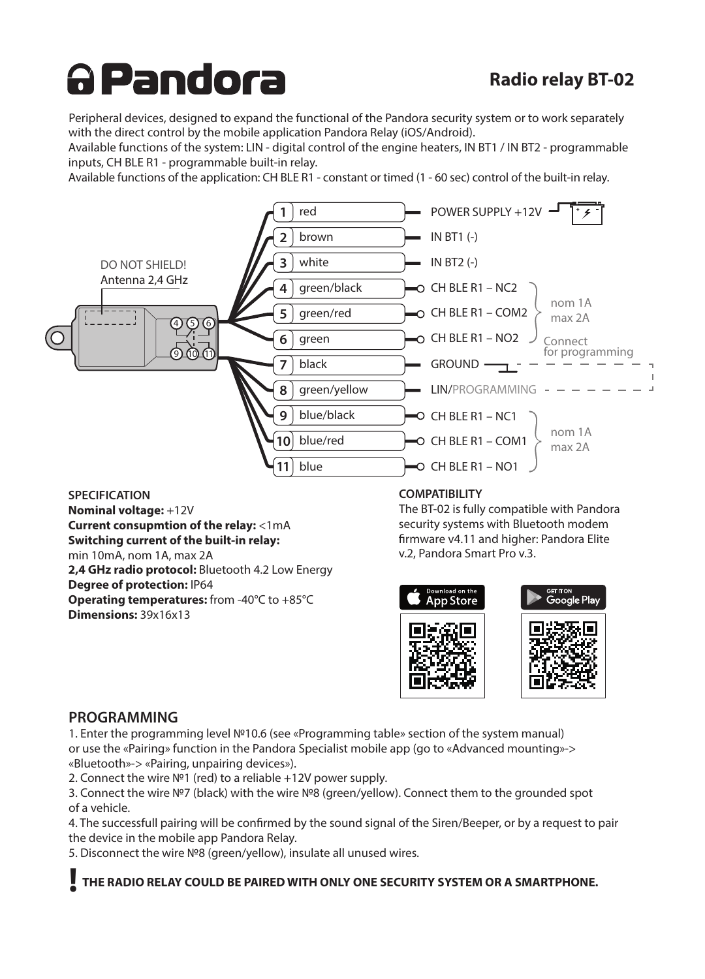# <u>A Pandora</u>

## **Radio relay BT-02**

Peripheral devices, designed to expand the functional of the Pandora security system or to work separately with the direct control by the mobile application Pandora Relay (iOS/Android).

Available functions of the system: LIN - digital control of the engine heaters, IN BT1 / IN BT2 - programmable inputs, CH BLE R1 - programmable built-in relay.

Available functions of the application: CH BLE R1 - constant or timed (1 - 60 sec) control of the built-in relay.



**SPECIFICATION Nominal voltage:** +12V **Current consupmtion of the relay:** <1mA **Switching current of the built-in relay:** min 10mA, nom 1A, max 2A **2,4 GHz radio protocol:** Bluetooth 4.2 Low Energy **Degree of protection:** IP64 **Operating temperatures:** from -40°C to +85°C **Dimensions:** 39x16x13

#### **COMPATIBILITY**

The BT-02 is fully compatible with Pandora security systems with Bluetooth modem firmware v4.11 and higher: Pandora Elite v.2, Pandora Smart Pro v.3.



### **PROGRAMMING**

1. Enter the programming level №10.6 (see «Programming table» section of the system manual) or use the «Pairing» function in the Pandora Specialist mobile app (go to «Advanced mounting»-> «Bluetooth»-> «Pairing, unpairing devices»).

2. Connect the wire №1 (red) to a reliable +12V power supply.

3. Connect the wire №7 (black) with the wire №8 (green/yellow). Connect them to the grounded spot of a vehicle.

4. The successfull pairing will be confirmed by the sound signal of the Siren/Beeper, or by a request to pair the device in the mobile app Pandora Relay.

5. Disconnect the wire №8 (green/yellow), insulate all unused wires.

**! THE RADIO RELAY COULD BE PAIRED WITH ONLY ONE SECURITY SYSTEM OR A SMARTPHONE.**